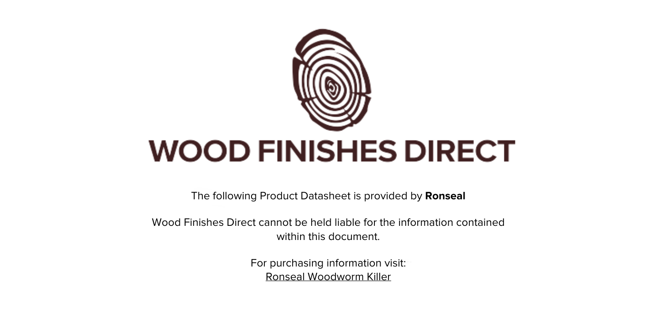

The following Product Datasheet is provided by **Ronseal**

Wood Finishes Direct cannot be held liable for the information contained within this document

> For purchasing information visit: [Ronseal Woodworm Killer](https://www.wood-finishes-direct.com/product/ronseal-woodworm-killer)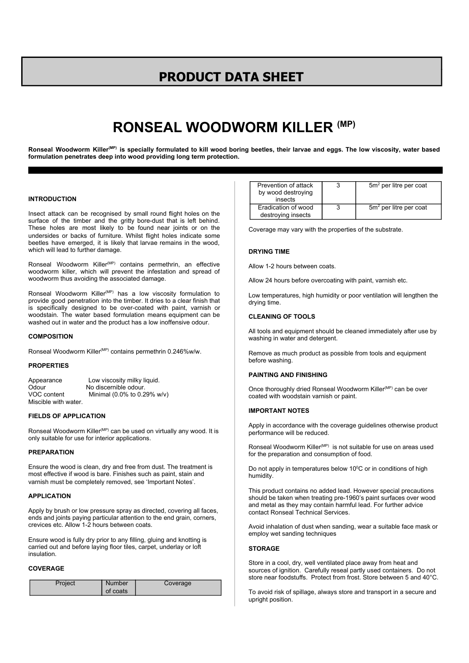## **PRODUCT DATA SHEET**

# **RONSEAL WOODWORM KILLER (MP)**

Ronseal Woodworm Killer<sup>(MP)</sup> is specially formulated to kill wood boring beetles, their larvae and eggs. The low viscosity, water based **formulation penetrates deep into wood providing long term protection.**

## **INTRODUCTION**

Insect attack can be recognised by small round flight holes on the surface of the timber and the gritty bore-dust that is left behind. These holes are most likely to be found near joints or on the undersides or backs of furniture. Whilst flight holes indicate some beetles have emerged, it is likely that larvae remains in the wood, which will lead to further damage.

Ronseal Woodworm Killer<sup>(MP)</sup> contains permethrin, an effective woodworm killer, which will prevent the infestation and spread of woodworm thus avoiding the associated damage.

Ronseal Woodworm Killer<sup>(MP)</sup> has a low viscosity formulation to provide good penetration into the timber. It dries to a clear finish that is specifically designed to be over-coated with paint, varnish or woodstain. The water based formulation means equipment can be washed out in water and the product has a low inoffensive odour.

## **COMPOSITION**

Ronseal Woodworm Killer<sup>(MP)</sup> contains permethrin 0.246%w/w.

## **PROPERTIES**

| Appearance           | Low viscosity milky liquid. |
|----------------------|-----------------------------|
| Odour                | No discernible odour.       |
| VOC content          | Minimal (0.0% to 0.29% w/v) |
| Miscible with water. |                             |

## **FIELDS OF APPLICATION**

Ronseal Woodworm Killer<sup>(MP)</sup> can be used on virtually any wood. It is only suitable for use for interior applications.

#### **PREPARATION**

Ensure the wood is clean, dry and free from dust. The treatment is most effective if wood is bare. Finishes such as paint, stain and varnish must be completely removed, see 'Important Notes'.

#### **APPLICATION**

Apply by brush or low pressure spray as directed, covering all faces, ends and joints paying particular attention to the end grain, corners, crevices etc. Allow 1-2 hours between coats.

Ensure wood is fully dry prior to any filling, gluing and knotting is carried out and before laying floor tiles, carpet, underlay or loft insulation.

## **COVERAGE**

| Project | <b>Number</b> | Coverage |
|---------|---------------|----------|
|         | of coats      |          |

| Prevention of attack<br>by wood destroving<br>insects | 3 | $5m2$ per litre per coat |
|-------------------------------------------------------|---|--------------------------|
| Eradication of wood<br>destroying insects             |   | $5m2$ per litre per coat |

Coverage may vary with the properties of the substrate.

## **DRYING TIME**

Allow 1-2 hours between coats.

Allow 24 hours before overcoating with paint, varnish etc.

Low temperatures, high humidity or poor ventilation will lengthen the drying time.

#### **CLEANING OF TOOLS**

All tools and equipment should be cleaned immediately after use by washing in water and detergent.

Remove as much product as possible from tools and equipment before washing.

#### **PAINTING AND FINISHING**

Once thoroughly dried Ronseal Woodworm Killer<sup>(MP)</sup> can be over coated with woodstain varnish or paint.

#### **IMPORTANT NOTES**

Apply in accordance with the coverage guidelines otherwise product performance will be reduced.

Ronseal Woodworm Killer<sup>(MP)</sup> is not suitable for use on areas used for the preparation and consumption of food.

Do not apply in temperatures below 10°C or in conditions of high humidity.

This product contains no added lead. However special precautions should be taken when treating pre-1960's paint surfaces over wood and metal as they may contain harmful lead. For further advice contact Ronseal Technical Services.

Avoid inhalation of dust when sanding, wear a suitable face mask or employ wet sanding techniques

## **STORAGE**

Store in a cool, dry, well ventilated place away from heat and sources of ignition. Carefully reseal partly used containers. Do not store near foodstuffs. Protect from frost. Store between 5 and 40°C.

To avoid risk of spillage, always store and transport in a secure and upright position.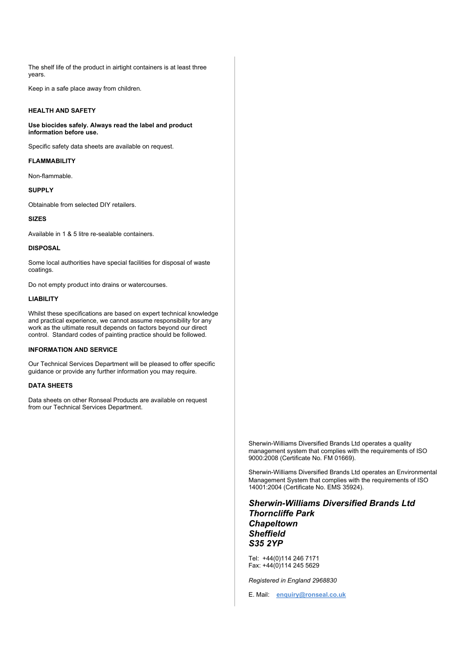The shelf life of the product in airtight containers is at least three years.

Keep in a safe place away from children.

## **HEALTH AND SAFETY**

**Use biocides safely. Always read the label and product information before use.**

Specific safety data sheets are available on request.

## **FLAMMABILITY**

Non-flammable.

## **SUPPLY**

Obtainable from selected DIY retailers.

## **SIZES**

Available in 1 & 5 litre re-sealable containers.

## **DISPOSAL**

Some local authorities have special facilities for disposal of waste coatings.

Do not empty product into drains or watercourses.

## **LIABILITY**

Whilst these specifications are based on expert technical knowledge and practical experience, we cannot assume responsibility for any work as the ultimate result depends on factors beyond our direct control. Standard codes of painting practice should be followed.

## **INFORMATION AND SERVICE**

Our Technical Services Department will be pleased to offer specific guidance or provide any further information you may require.

#### **DATA SHEETS**

Data sheets on other Ronseal Products are available on request from our Technical Services Department.

> Sherwin-Williams Diversified Brands Ltd operates a quality management system that complies with the requirements of ISO 9000:2008 (Certificate No. FM 01669).

Sherwin-Williams Diversified Brands Ltd operates an Environmental Management System that complies with the requirements of ISO 14001:2004 (Certificate No. EMS 35924).

*Sherwin-Williams Diversified Brands Ltd Thorncliffe Park Chapeltown Sheffield S35 2YP*

Tel: +44(0)114 246 7171 Fax: +44(0)114 245 5629

*Registered in England 2968830*

E. Mail: **enquiry@ronseal.co.uk**